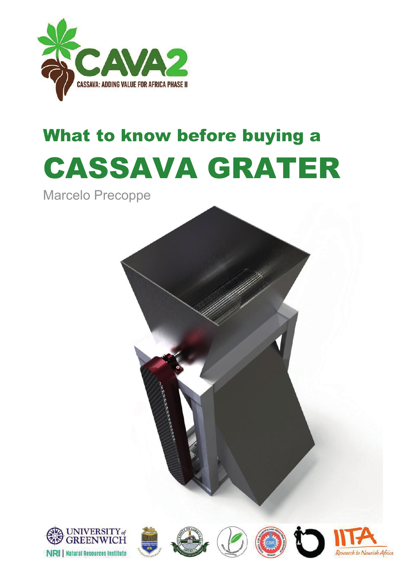

# What to know before buying a CASSAVA GRATER

Marcelo Precoppe













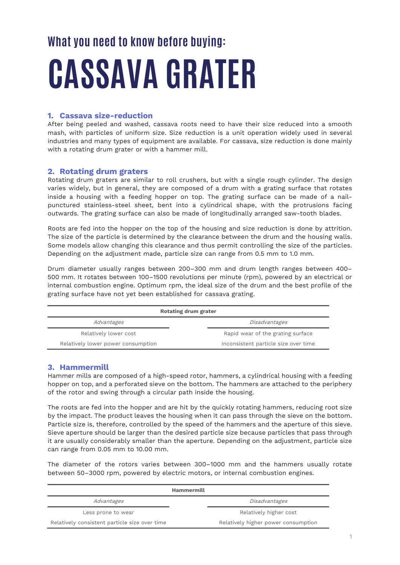# **What you need to know before buying: CASSAVA GRATER**

# **1. Cassava size-reduction**

After being peeled and washed, cassava roots need to have their size reduced into a smooth mash, with particles of uniform size. Size reduction is a unit operation widely used in several industries and many types of equipment are available. For cassava, size reduction is done mainly with a rotating drum grater or with a hammer mill.

# **2. Rotating drum graters**

Rotating drum graters are similar to roll crushers, but with a single rough cylinder. The design varies widely, but in general, they are composed of a drum with a grating surface that rotates inside a housing with a feeding hopper on top. The grating surface can be made of a nailpunctured stainless-steel sheet, bent into a cylindrical shape, with the protrusions facing outwards. The grating surface can also be made of longitudinally arranged saw-tooth blades.

Roots are fed into the hopper on the top of the housing and size reduction is done by attrition. The size of the particle is determined by the clearance between the drum and the housing walls. Some models allow changing this clearance and thus permit controlling the size of the particles. Depending on the adjustment made, particle size can range from 0.5 mm to 1.0 mm.

Drum diameter usually ranges between 200–300 mm and drum length ranges between 400– 500 mm. It rotates between 100–1500 revolutions per minute (rpm), powered by an electrical or internal combustion engine. Optimum rpm, the ideal size of the drum and the best profile of the grating surface have not yet been established for cassava grating.

| Rotating drum grater               |                                      |
|------------------------------------|--------------------------------------|
| Advantages                         | Disadvantages                        |
| Relatively lower cost              | Rapid wear of the grating surface    |
| Relatively lower power consumption | Inconsistent particle size over time |

### **3. Hammermill**

Hammer mills are composed of a high-speed rotor, hammers, a cylindrical housing with a feeding hopper on top, and a perforated sieve on the bottom. The hammers are attached to the periphery of the rotor and swing through a circular path inside the housing.

The roots are fed into the hopper and are hit by the quickly rotating hammers, reducing root size by the impact. The product leaves the housing when it can pass through the sieve on the bottom. Particle size is, therefore, controlled by the speed of the hammers and the aperture of this sieve. Sieve aperture should be larger than the desired particle size because particles that pass through it are usually considerably smaller than the aperture. Depending on the adjustment, particle size can range from 0.05 mm to 10.00 mm.

The diameter of the rotors varies between 300–1000 mm and the hammers usually rotate between 50–3000 rpm, powered by electric motors, or internal combustion engines.

| <b>Hammermill</b>                             |                                     |
|-----------------------------------------------|-------------------------------------|
| Advantages                                    | Disadvantages                       |
| Less prone to wear                            | Relatively higher cost              |
| Relatively consistent particle size over time | Relatively higher power consumption |